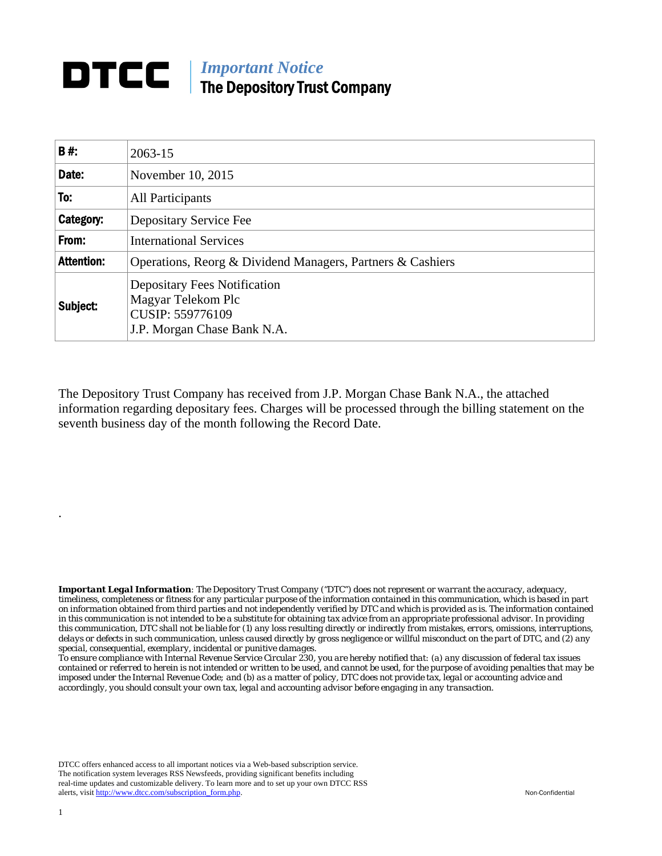## **DTCC** | *Important Notice* The Depository Trust Company

| B#:               | 2063-15                                                                                                      |  |  |  |  |  |
|-------------------|--------------------------------------------------------------------------------------------------------------|--|--|--|--|--|
| Date:             | November 10, 2015                                                                                            |  |  |  |  |  |
| To:               | All Participants                                                                                             |  |  |  |  |  |
| Category:         | Depositary Service Fee                                                                                       |  |  |  |  |  |
| From:             | <b>International Services</b>                                                                                |  |  |  |  |  |
| <b>Attention:</b> | Operations, Reorg & Dividend Managers, Partners & Cashiers                                                   |  |  |  |  |  |
| Subject:          | <b>Depositary Fees Notification</b><br>Magyar Telekom Plc<br>CUSIP: 559776109<br>J.P. Morgan Chase Bank N.A. |  |  |  |  |  |

The Depository Trust Company has received from J.P. Morgan Chase Bank N.A., the attached information regarding depositary fees. Charges will be processed through the billing statement on the seventh business day of the month following the Record Date.

*Important Legal Information: The Depository Trust Company ("DTC") does not represent or warrant the accuracy, adequacy, timeliness, completeness or fitness for any particular purpose of the information contained in this communication, which is based in part on information obtained from third parties and not independently verified by DTC and which is provided as is. The information contained in this communication is not intended to be a substitute for obtaining tax advice from an appropriate professional advisor. In providing this communication, DTC shall not be liable for (1) any loss resulting directly or indirectly from mistakes, errors, omissions, interruptions, delays or defects in such communication, unless caused directly by gross negligence or willful misconduct on the part of DTC, and (2) any special, consequential, exemplary, incidental or punitive damages.* 

*To ensure compliance with Internal Revenue Service Circular 230, you are hereby notified that: (a) any discussion of federal tax issues contained or referred to herein is not intended or written to be used, and cannot be used, for the purpose of avoiding penalties that may be imposed under the Internal Revenue Code; and (b) as a matter of policy, DTC does not provide tax, legal or accounting advice and accordingly, you should consult your own tax, legal and accounting advisor before engaging in any transaction.*

DTCC offers enhanced access to all important notices via a Web-based subscription service. The notification system leverages RSS Newsfeeds, providing significant benefits including real-time updates and customizable delivery. To learn more and to set up your own DTCC RSS alerts, visit http://www.dtcc.com/subscription\_form.php. Non-Confidential

.